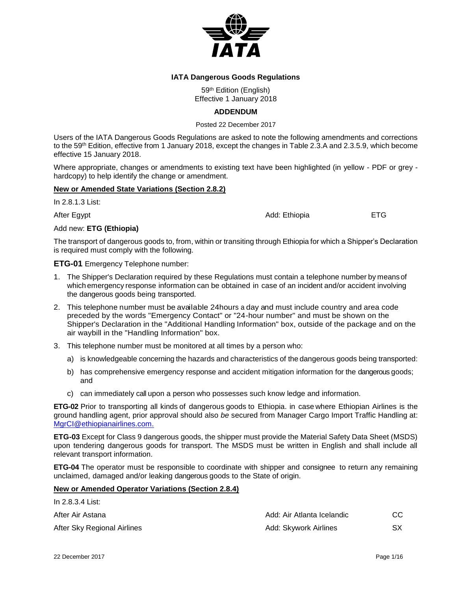

## **IATA Dangerous Goods Regulations**

59<sup>th</sup> Edition (English) Effective 1 January 2018

## **ADDENDUM**

Posted 22 December 2017

Users of the IATA Dangerous Goods Regulations are asked to note the following amendments and corrections to the 59 th Edition, effective from 1 January 2018, except the changes in Table 2.3.A and 2.3.5.9, which become effective 15 January 2018.

Where appropriate, changes or amendments to existing text have been highlighted (in yellow - PDF or grey hardcopy) to help identify the change or amendment.

## **New or Amended State Variations (Section 2.8.2)**

In 2.8.1.3 List:

After Egypt **Add:** Ethiopia **ETG** 

## Add new: **ETG (Ethiopia)**

The transport of dangerous goods to, from, within or transiting through Ethiopia for which a Shipper's Declaration is required must comply with the following.

## **ETG-01** Emergency Telephone number:

- 1. The Shipper's Declaration required by these Regulations must contain a telephone number by meansof which emergency response information can be obtained in case of an incident and/or accident involving the dangerous goods being transported.
- 2. This telephone number must be available 24hours a day and must include country and area code preceded by the words "Emergency Contact" or "24-hour number" and must be shown on the Shipper's Declaration in the "Additional Handling Information" box, outside of the package and on the air waybill in the "Handling Information" box.
- 3. This telephone number must be monitored at all times by a person who:
	- a) is knowledgeable concerning the hazards and characteristics of the dangerous goods being transported:
	- b) has comprehensive emergency response and accident mitigation information for the dangerous goods; and
	- c) can immediately call upon a person who possesses such know ledge and information.

**ETG-02** Prior to transporting all kinds of dangerous goods to Ethiopia. in case where Ethiopian Airlines is the ground handling agent, prior approval should also *be* secured from Manager Cargo Import Traffic Handling at: [MgrCI@ethiopianairlines.com.](mailto:MgrCI@ethiopianairlines.com.)

**ETG-03** Except for Class 9 dangerous goods, the shipper must provide the Material Safety Data Sheet (MSDS) upon tendering dangerous goods for transport. The MSDS must be written in English and shall include all relevant transport information.

**ETG-04** The operator must be responsible to coordinate with shipper and consignee to return any remaining unclaimed, damaged and/or leaking dangerous goods to the State of origin.

## **New or Amended Operator Variations (Section 2.8.4)**

| TH 2.8.3.4 LIST.            |                            |     |
|-----------------------------|----------------------------|-----|
| After Air Astana            | Add: Air Atlanta Icelandic | CC. |
| After Sky Regional Airlines | Add: Skywork Airlines      | SХ  |

 $\overline{1}$  2.8.9.4  $\overline{1}$   $\overline{2}$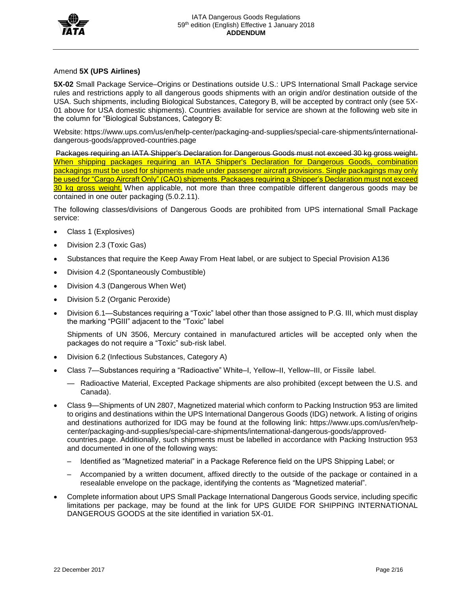

## Amend **5X (UPS Airlines)**

**5X-02** Small Package Service–Origins or Destinations outside U.S.: UPS International Small Package service rules and restrictions apply to all dangerous goods shipments with an origin and/or destination outside of the USA. Such shipments, including Biological Substances, Category B, will be accepted by contract only (see 5X-01 above for USA domestic shipments). Countries available for service are shown at the following web site in the column for "Biological Substances, Category B:

Website: https://www.ups.com/us/en/help-center/packaging-and-supplies/special-care-shipments/internationaldangerous-goods/approved-countries.page

Packages requiring an IATA Shipper's Declaration for Dangerous Goods must not exceed 30 kg gross weight. When shipping packages requiring an IATA Shipper's Declaration for Dangerous Goods, combination packagings must be used for shipments made under passenger aircraft provisions. Single packagings may only be used for "Cargo Aircraft Only" (CAO) shipments. Packages requiring a Shipper's Declaration must not exceed 30 kg gross weight. When applicable, not more than three compatible different dangerous goods may be contained in one outer packaging (5.0.2.11).

The following classes/divisions of Dangerous Goods are prohibited from UPS international Small Package service:

- Class 1 (Explosives)
- Division 2.3 (Toxic Gas)
- Substances that require the Keep Away From Heat label, or are subject to Special Provision A136
- Division 4.2 (Spontaneously Combustible)
- Division 4.3 (Dangerous When Wet)
- Division 5.2 (Organic Peroxide)
- Division 6.1—Substances requiring a "Toxic" label other than those assigned to P.G. III, which must display the marking "PGIII" adjacent to the "Toxic" label

Shipments of UN 3506, Mercury contained in manufactured articles will be accepted only when the packages do not require a "Toxic" sub-risk label.

- Division 6.2 (Infectious Substances, Category A)
- Class 7—Substances requiring a "Radioactive" White–I, Yellow–II, Yellow–III, or Fissile label.
	- Radioactive Material, Excepted Package shipments are also prohibited (except between the U.S. and Canada).
- Class 9—Shipments of UN 2807, Magnetized material which conform to Packing Instruction 953 are limited to origins and destinations within the UPS International Dangerous Goods (IDG) network. A listing of origins and destinations authorized for IDG may be found at the following link: https://www.ups.com/us/en/helpcenter/packaging-and-supplies/special-care-shipments/international-dangerous-goods/approvedcountries.page. Additionally, such shipments must be labelled in accordance with Packing Instruction 953 and documented in one of the following ways:
	- Identified as "Magnetized material" in a Package Reference field on the UPS Shipping Label; or
	- Accompanied by a written document, affixed directly to the outside of the package or contained in a resealable envelope on the package, identifying the contents as "Magnetized material".
- Complete information about UPS Small Package International Dangerous Goods service, including specific limitations per package, may be found at the link for UPS GUIDE FOR SHIPPING INTERNATIONAL DANGEROUS GOODS at the site identified in variation 5X-01.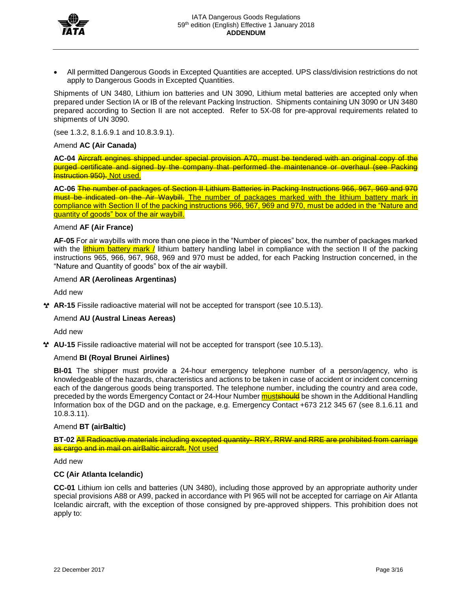

• All permitted Dangerous Goods in Excepted Quantities are accepted. UPS class/division restrictions do not apply to Dangerous Goods in Excepted Quantities.

Shipments of UN 3480, Lithium ion batteries and UN 3090, Lithium metal batteries are accepted only when prepared under Section IA or IB of the relevant Packing Instruction. Shipments containing UN 3090 or UN 3480 prepared according to Section II are not accepted. Refer to 5X-08 for pre-approval requirements related to shipments of UN 3090.

(see 1.3.2, 8.1.6.9.1 and 10.8.3.9.1).

#### Amend **AC (Air Canada)**

**AC-04** Aircraft engines shipped under special provision A70, must be tendered with an original copy of the purged certificate and signed by the company that performed the maintenance or overhaul (see Packing **Instruction 950). Not used.** 

**AC-06** The number of packages of Section II Lithium Batteries in Packing Instructions 966, 967, 969 and 970 must be indicated on the Air Waybill. The number of packages marked with the lithium battery mark in compliance with Section II of the packing instructions 966, 967, 969 and 970, must be added in the "Nature and quantity of goods" box of the air waybill.

### Amend **AF (Air France)**

**AF-05** For air waybills with more than one piece in the "Number of pieces" box, the number of packages marked with the **lithium battery mark** / lithium battery handling label in compliance with the section II of the packing instructions 965, 966, 967, 968, 969 and 970 must be added, for each Packing Instruction concerned, in the "Nature and Quantity of goods" box of the air waybill.

#### Amend **AR (Aerolineas Argentinas)**

Add new

**AR-15** Fissile radioactive material will not be accepted for transport (see 10.5.13).

#### Amend **AU (Austral Lineas Aereas)**

Add new

**AU-15** Fissile radioactive material will not be accepted for transport (see 10.5.13).

#### Amend **BI (Royal Brunei Airlines)**

**BI-01** The shipper must provide a 24-hour emergency telephone number of a person/agency, who is knowledgeable of the hazards, characteristics and actions to be taken in case of accident or incident concerning each of the dangerous goods being transported. The telephone number, including the country and area code, preceded by the words Emergency Contact or 24-Hour Number must show in the Additional Handling Information box of the DGD and on the package, e.g. Emergency Contact +673 212 345 67 (see 8.1.6.11 and 10.8.3.11).

## Amend **BT (airBaltic)**

**BT-02** All Radioactive materials including excepted quantity- RRY, RRW and RRE are prohibited from carriage as cargo and in mail on airBaltic aircraft. Not used

Add new

#### **CC (Air Atlanta Icelandic)**

**CC-01** Lithium ion cells and batteries (UN 3480), including those approved by an appropriate authority under special provisions A88 or A99, packed in accordance with PI 965 will not be accepted for carriage on Air Atlanta Icelandic aircraft, with the exception of those consigned by pre-approved shippers. This prohibition does not apply to: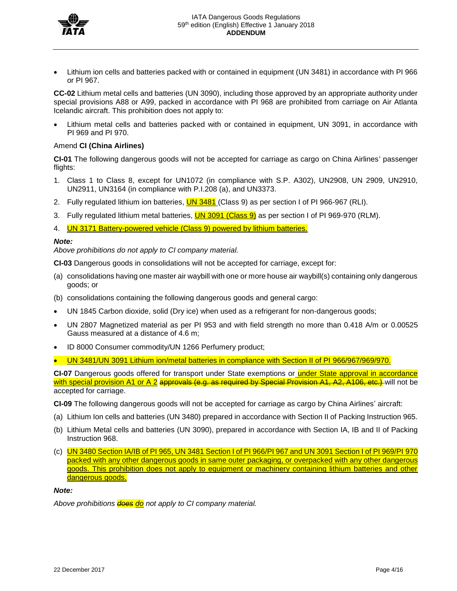

• Lithium ion cells and batteries packed with or contained in equipment (UN 3481) in accordance with PI 966 or PI 967.

**CC-02** Lithium metal cells and batteries (UN 3090), including those approved by an appropriate authority under special provisions A88 or A99, packed in accordance with PI 968 are prohibited from carriage on Air Atlanta Icelandic aircraft. This prohibition does not apply to:

• Lithium metal cells and batteries packed with or contained in equipment, UN 3091, in accordance with PI 969 and PI 970.

## Amend **CI (China Airlines)**

**CI-01** The following dangerous goods will not be accepted for carriage as cargo on China Airlines' passenger flights:

- 1. Class 1 to Class 8, except for UN1072 (in compliance with S.P. A302), UN2908, UN 2909, UN2910, UN2911, UN3164 (in compliance with P.I.208 (a), and UN3373.
- 2. Fully regulated lithium ion batteries, **UN 3481** (Class 9) as per section I of PI 966-967 (RLI).
- 3. Fully regulated lithium metal batteries, **UN 3091 (Class 9)** as per section I of PI 969-970 (RLM).
- 4. **UN 3171 Battery-powered vehicle (Class 9) powered by lithium batteries.**

#### *Note:*

*Above prohibitions do not apply to CI company material.*

**CI-03** Dangerous goods in consolidations will not be accepted for carriage, except for:

- (a) consolidations having one master air waybill with one or more house air waybill(s) containing only dangerous goods; or
- (b) consolidations containing the following dangerous goods and general cargo:
- UN 1845 Carbon dioxide, solid (Dry ice) when used as a refrigerant for non-dangerous goods;
- UN 2807 Magnetized material as per PI 953 and with field strength no more than 0.418 A/m or 0.00525 Gauss measured at a distance of 4.6 m;
- ID 8000 Consumer commodity/UN 1266 Perfumery product;
- UN 3481/UN 3091 Lithium ion/metal batteries in compliance with Section II of PI 966/967/969/970.

CI-07 Dangerous goods offered for transport under State exemptions or under State approval in accordance with special provision A1 or A 2 approvals (e.g. as required by Special Provision A1, A2, A106, etc.) will not be accepted for carriage.

**CI-09** The following dangerous goods will not be accepted for carriage as cargo by China Airlines' aircraft:

- (a) Lithium Ion cells and batteries (UN 3480) prepared in accordance with Section II of Packing Instruction 965.
- (b) Lithium Metal cells and batteries (UN 3090), prepared in accordance with Section IA, IB and II of Packing Instruction 968.
- (c) UN 3480 Section IA/IB of PI 965, UN 3481 Section I of PI 966/PI 967 and UN 3091 Section I of PI 969/PI 970 packed with any other dangerous goods in same outer packaging, or overpacked with any other dangerous goods. This prohibition does not apply to equipment or machinery containing lithium batteries and other dangerous goods.

#### *Note:*

*Above prohibitions does do not apply to CI company material.*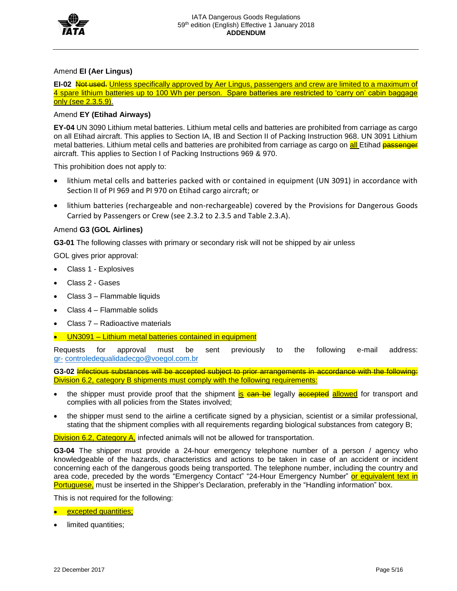

## Amend **EI (Aer Lingus)**

**EI-02** Not used. Unless specifically approved by Aer Lingus, passengers and crew are limited to a maximum of 4 spare lithium batteries up to 100 Wh per person. Spare batteries are restricted to 'carry on' cabin baggage only (see 2.3.5.9).

## Amend **EY (Etihad Airways)**

**EY-04** UN 3090 Lithium metal batteries. Lithium metal cells and batteries are prohibited from carriage as cargo on all Etihad aircraft. This applies to Section IA, IB and Section II of Packing Instruction 968. UN 3091 Lithium metal batteries. Lithium metal cells and batteries are prohibited from carriage as cargo on all Etihad passenger aircraft. This applies to Section I of Packing Instructions 969 & 970.

This prohibition does not apply to:

- lithium metal cells and batteries packed with or contained in equipment (UN 3091) in accordance with Section II of PI 969 and PI 970 on Etihad cargo aircraft; or
- lithium batteries (rechargeable and non-rechargeable) covered by the Provisions for Dangerous Goods Carried by Passengers or Crew (see 2.3.2 to 2.3.5 and Table 2.3.A).

#### Amend **G3 (GOL Airlines)**

**G3-01** The following classes with primary or secondary risk will not be shipped by air unless

GOL gives prior approval:

- Class 1 Explosives
- Class 2 Gases
- Class 3 Flammable liquids
- Class 4 Flammable solids
- Class 7 Radioactive materials
- UN3091 Lithium metal batteries contained in equipment

Requests for approval must be sent previously to the following e-mail address: [gr-](mailto:gr-controledequalidadecgo@voegol.com.br) [controledequalidadecgo@voegol.com.br](mailto:gr-controledequalidadecgo@voegol.com.br)

**G3-02** Infectious substances will be accepted subject to prior arrangements in accordance with the following: Division 6.2, category B shipments must comply with the following requirements:

- the shipper must provide proof that the shipment is can be legally accepted allowed for transport and complies with all policies from the States involved;
- the shipper must send to the airline a certificate signed by a physician, scientist or a similar professional, stating that the shipment complies with all requirements regarding biological substances from category B;

Division 6.2, Category A, infected animals will not be allowed for transportation.

**G3-04** The shipper must provide a 24-hour emergency telephone number of a person / agency who knowledgeable of the hazards, characteristics and actions to be taken in case of an accident or incident concerning each of the dangerous goods being transported. The telephone number, including the country and area code, preceded by the words "Emergency Contact" "24-Hour Emergency Number" or equivalent text in Portuguese, must be inserted in the Shipper's Declaration, preferably in the "Handling information" box.

This is not required for the following:

• excepted quantities;

limited quantities;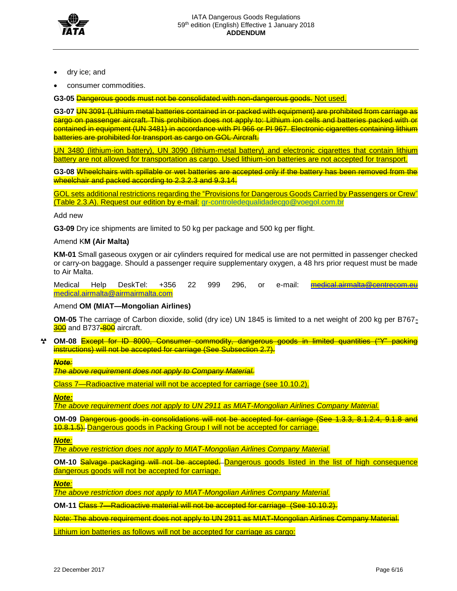

- dry ice; and
- consumer commodities.

**G3-05** Dangerous goods must not be consolidated with non-dangerous goods. Not used.

**G3-07** UN 3091 (Lithium metal batteries contained in or packed with equipment) are prohibited from carriage as cargo on passenger aircraft. This prohibition does not apply to: Lithium ion cells and batteries packed with or contained in equipment (UN 3481) in accordance with PI 966 or PI 967. Electronic cigarettes containing lithium batteries are prohibited for transport as cargo on GOL Aircraft.

UN 3480 (lithium-ion battery), UN 3090 (lithium-metal battery) and electronic cigarettes that contain lithium battery are not allowed for transportation as cargo. Used lithium-ion batteries are not accepted for transport.

**G3-08** Wheelchairs with spillable or wet batteries are accepted only if the battery has been removed from the wheelchair and packed according to 2.3.2.3 and 9.3.14.

GOL sets additional restrictions regarding the "Provisions for Dangerous Goods Carried by Passengers or Crew" (Table 2.3.A). Request our edition by e-mail: [gr-controledequalidadecgo@voegol.com.br](mailto:gr-controledequalidadecgo@voegol.com.br)

Add new

**G3-09** Dry ice shipments are limited to 50 kg per package and 500 kg per flight.

#### Amend K**M (Air Malta)**

**KM-01** Small gaseous oxygen or air cylinders required for medical use are not permitted in passenger checked or carry-on baggage. Should a passenger require supplementary oxygen, a 48 hrs prior request must be made to Air Malta.

Medical Help DeskTel: +356 22 999 296, or e-mail: **[medical.airmalta@centrecom.eu](mailto:medical.airmalta@centrecom.eu)** [medical.airmalta@airmairmalta.com](mailto:medical.airmalta@airmairmalta.com)

#### Amend **OM (MIAT—Mongolian Airlines)**

**OM-05** The carriage of Carbon dioxide, solid (dry ice) UN 1845 is limited to a net weight of 200 kg per B767- 300 and B737-800 aircraft.

**OM-08** Except for ID 8000, Consumer commodity, dangerous goods in limited quantities ("Y" packing instructions) will not be accepted for carriage (See Subsection 2.7).

*Note:*

*The above requirement does not apply to Company Material.*

Class 7—Radioactive material will not be accepted for carriage (see 10.10.2).

*Note:*

*The above requirement does not apply to UN 2911 as MIAT-Mongolian Airlines Company Material.*

**OM-09** Dangerous goods in consolidations will not be accepted for carriage (See 1.3.3, 8.1.2.4, 9.1.8 and 10.8.1.5). Dangerous goods in Packing Group I will not be accepted for carriage.

*Note:*

*The above restriction does not apply to MIAT-Mongolian Airlines Company Material.*

**OM-10** Salvage packaging will not be accepted. Dangerous goods listed in the list of high consequence dangerous goods will not be accepted for carriage.

*Note:* 

*The above restriction does not apply to MIAT-Mongolian Airlines Company Material.* 

**OM-11** Class 7—Radioactive material will not be accepted for carriage (See 10.10.2).

Note: The above requirement does not apply to UN 2911 as MIAT-Mongolian Airlines Company Material.

Lithium ion batteries as follows will not be accepted for carriage as cargo: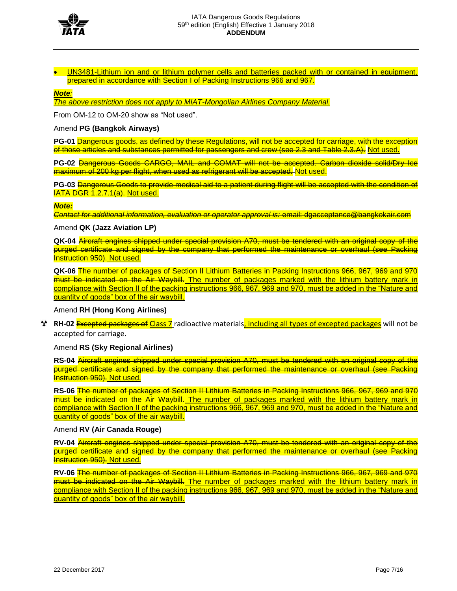

• UN3481-Lithium ion and or lithium polymer cells and batteries packed with or contained in equipment, prepared in accordance with Section I of Packing Instructions 966 and 967.

#### *Note:*

*The above restriction does not apply to MIAT-Mongolian Airlines Company Material.*

From OM-12 to OM-20 show as "Not used".

#### Amend **PG (Bangkok Airways)**

**PG-01 Dangerous goods, as defined by these Regulations, will not be accepted for carriage, with the exception** of those articles and substances permitted for passengers and crew (see 2.3 and Table 2.3.A). Not used.

**PG-02** Dangerous Goods CARGO, MAIL and COMAT will not be accepted. Carbon dioxide solid/Dry Ice maximum of 200 kg per flight, when used as refrigerant will be accepted. Not used.

**PG-03** Dangerous Goods to provide medical aid to a patient during flight will be accepted with the condition of **IATA DGR 1.2.7.1(a). Not used.** 

#### *Note:*

*Contact for additional information, evaluation or operator approval is:* email: dgacceptance@bangkokair.com

#### Amend **QK (Jazz Aviation LP)**

**QK-04** Aircraft engines shipped under special provision A70, must be tendered with an original copy of the purged certificate and signed by the company that performed the maintenance or overhaul (see Packing **Instruction 950). Not used.** 

**QK-06** The number of packages of Section II Lithium Batteries in Packing Instructions 966, 967, 969 and 970 must be indicated on the Air Waybill. The number of packages marked with the lithium battery mark in compliance with Section II of the packing instructions 966, 967, 969 and 970, must be added in the "Nature and quantity of goods" box of the air waybill.

#### Amend **RH (Hong Kong Airlines)**

**RH-02** Excepted packages of Class 7 radioactive materials, including all types of excepted packages will not be accepted for carriage.

#### Amend **RS (Sky Regional Airlines)**

**RS-04** Aircraft engines shipped under special provision A70, must be tendered with an original copy of the purged certificate and signed by the company that performed the maintenance or overhaul (see Packing **Instruction 950). Not used.** 

**RS-06** The number of packages of Section II Lithium Batteries in Packing Instructions 966, 967, 969 and 970 must be indicated on the Air Waybill. The number of packages marked with the lithium battery mark in compliance with Section II of the packing instructions 966, 967, 969 and 970, must be added in the "Nature and quantity of goods" box of the air waybill.

#### Amend **RV (Air Canada Rouge)**

**RV-04** Aircraft engines shipped under special provision A70, must be tendered with an original copy of the purged certificate and signed by the company that performed the maintenance or overhaul (see Packing Instruction 950). Not used.

**RV-06** The number of packages of Section II Lithium Batteries in Packing Instructions 966, 967, 969 and 970 must be indicated on the Air Waybill. The number of packages marked with the lithium battery mark in compliance with Section II of the packing instructions 966, 967, 969 and 970, must be added in the "Nature and quantity of goods" box of the air waybill.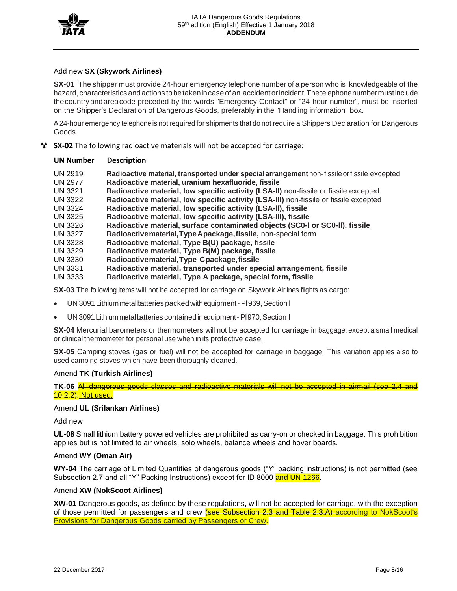

#### Add new **SX (Skywork Airlines)**

**SX-01** The shipper must provide 24-hour emergency telephone number of a person who is knowledgeable of the hazard, characteristics and actions to be taken in case of an accident or incident. The telephone number must include thecountryandareacode preceded by the words "Emergency Contact" or "24-hour number", must be inserted on the Shipper's Declaration of Dangerous Goods, preferably in the "Handling information" box.

A24-hour emergency telephoneis notrequired for shipments that do not require a Shippers Declaration for Dangerous Goods.

**SX-02** The following radioactive materials will not be accepted for carriage:

#### **UN Number Description**

- UN 2919 **Radioactive material, transported under specialarrangement** non-fissileorfissile excepted UN 2977 **Radioactive material, uranium hexafluoride, fissile**
- UN 3321 **Radioactive material, low specific activity (LSA-ll)** non-fissile or fissile excepted
- UN 3322 **Radioactive material, low specific activity (LSA-lll)** non-fissile or fissile excepted
- UN 3324 **Radioactive material, low specific activity (LSA-ll), fissile**
- UN 3325 **Radioactive material, low specific activity (LSA-lll), fissile**
- UN 3326 **Radioactive material, surface contaminated objects (SC0-l or SC0-ll), fissile**
- UN 3327 **Radioactivematerial,TypeApackage,fissile,** non-special form
- UN 3328 **Radioactive material, Type B(U) package, fissile**
- UN 3329 **Radioactive material, Type B(M) package, fissile**
- UN 3330 **Radioactivematerial,Type Cpackage,fissile**
- UN 3331 **Radioactive material, transported under special arrangement, fissile**
- UN 3333 **Radioactive material, Type A package, special form, fissile**

**SX-03** The following items will not be accepted for carriage on Skywork Airlines flights as cargo:

- UN 3091 Lithium metal batteries packed with equipment PI969, Section I
- UN3091 Lithium metalbatteries contained in equipment PI970, Section I

**SX-04** Mercurial barometers or thermometers will not be accepted for carriage in baggage, except a small medical or clinical thermometer for personal use when in its protective case.

**SX-05** Camping stoves (gas or fuel) will not be accepted for carriage in baggage. This variation applies also to used camping stoves which have been thoroughly cleaned.

#### Amend **TK (Turkish Airlines)**

**TK-06** All dangerous goods classes and radioactive materials will not be accepted in airmail (see 2.4 and **40.2.2). Not used.** 

## Amend **UL (Srilankan Airlines)**

Add new

**UL-08** Small lithium battery powered vehicles are prohibited as carry-on or checked in baggage. This prohibition applies but is not limited to air wheels, solo wheels, balance wheels and hover boards.

#### Amend **WY (Oman Air)**

**WY-04** The carriage of Limited Quantities of dangerous goods ("Y" packing instructions) is not permitted (see Subsection 2.7 and all "Y" Packing Instructions) except for ID 8000 and UN 1266.

#### Amend **XW (NokScoot Airlines)**

**XW-01** Dangerous goods, as defined by these regulations, will not be accepted for carriage, with the exception of those permitted for passengers and crew-**(see Subsection 2.3 and Table 2.3.A)** according to NokScoot's Provisions for Dangerous Goods carried by Passengers or Crew.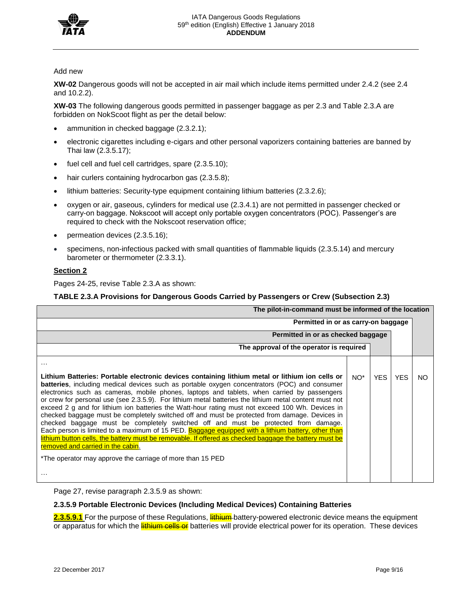

#### Add new

**XW-02** Dangerous goods will not be accepted in air mail which include items permitted under 2.4.2 (see 2.4 and 10.2.2).

**XW-03** The following dangerous goods permitted in passenger baggage as per 2.3 and Table 2.3.A are forbidden on NokScoot flight as per the detail below:

- ammunition in checked baggage (2.3.2.1);
- electronic cigarettes including e-cigars and other personal vaporizers containing batteries are banned by Thai law (2.3.5.17);
- fuel cell and fuel cell cartridges, spare (2.3.5.10);
- hair curlers containing hydrocarbon gas (2.3.5.8);
- lithium batteries: Security-type equipment containing lithium batteries (2.3.2.6);
- oxygen or air, gaseous, cylinders for medical use (2.3.4.1) are not permitted in passenger checked or carry-on baggage. Nokscoot will accept only portable oxygen concentrators (POC). Passenger's are required to check with the Nokscoot reservation office;
- permeation devices (2.3.5.16);
- specimens, non-infectious packed with small quantities of flammable liquids (2.3.5.14) and mercury barometer or thermometer (2.3.3.1).

#### **Section 2**

Pages 24-25, revise Table 2.3.A as shown:

#### **TABLE 2.3.A Provisions for Dangerous Goods Carried by Passengers or Crew (Subsection 2.3)**

| The pilot-in-command must be informed of the location                                                                                                                                                                                                                                                                                                                                                                                                                                                                                                                                                                                                                                                                                                                                                                                                                                                                                                                                                                           |                                          |            |            |    |  |
|---------------------------------------------------------------------------------------------------------------------------------------------------------------------------------------------------------------------------------------------------------------------------------------------------------------------------------------------------------------------------------------------------------------------------------------------------------------------------------------------------------------------------------------------------------------------------------------------------------------------------------------------------------------------------------------------------------------------------------------------------------------------------------------------------------------------------------------------------------------------------------------------------------------------------------------------------------------------------------------------------------------------------------|------------------------------------------|------------|------------|----|--|
| Permitted in or as carry-on baggage                                                                                                                                                                                                                                                                                                                                                                                                                                                                                                                                                                                                                                                                                                                                                                                                                                                                                                                                                                                             |                                          |            |            |    |  |
| Permitted in or as checked baggage                                                                                                                                                                                                                                                                                                                                                                                                                                                                                                                                                                                                                                                                                                                                                                                                                                                                                                                                                                                              |                                          |            |            |    |  |
|                                                                                                                                                                                                                                                                                                                                                                                                                                                                                                                                                                                                                                                                                                                                                                                                                                                                                                                                                                                                                                 | The approval of the operator is required |            |            |    |  |
| $\cdots$                                                                                                                                                                                                                                                                                                                                                                                                                                                                                                                                                                                                                                                                                                                                                                                                                                                                                                                                                                                                                        |                                          |            |            |    |  |
| Lithium Batteries: Portable electronic devices containing lithium metal or lithium ion cells or<br><b>batteries</b> , including medical devices such as portable oxygen concentrators (POC) and consumer<br>electronics such as cameras, mobile phones, laptops and tablets, when carried by passengers<br>or crew for personal use (see 2.3.5.9). For lithium metal batteries the lithium metal content must not<br>exceed 2 g and for lithium ion batteries the Watt-hour rating must not exceed 100 Wh. Devices in<br>checked baggage must be completely switched off and must be protected from damage. Devices in<br>checked baggage must be completely switched off and must be protected from damage.<br>Each person is limited to a maximum of 15 PED. Baggage equipped with a lithium battery, other than<br>lithium button cells, the battery must be removable. If offered as checked baggage the battery must be<br>removed and carried in the cabin.<br>*The operator may approve the carriage of more than 15 PED | $NO^*$                                   | <b>YES</b> | <b>YES</b> | NO |  |

Page 27, revise paragraph 2.3.5.9 as shown:

## **2.3.5.9 Portable Electronic Devices (Including Medical Devices) Containing Batteries**

2.3.5.9.1 For the purpose of these Regulations, **lithium** battery-powered electronic device means the equipment or apparatus for which the **lithium cells or** batteries will provide electrical power for its operation. These devices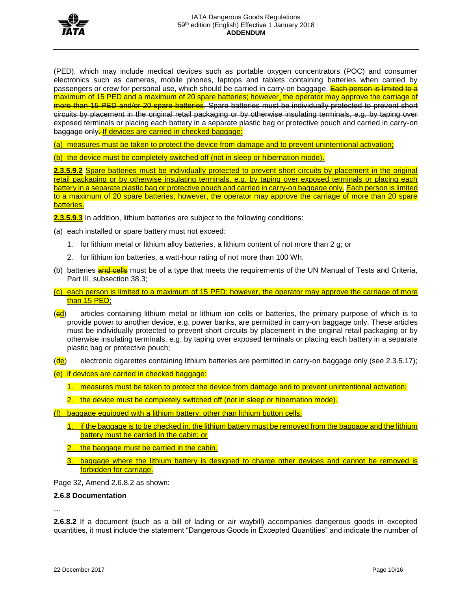

(PED), which may include medical devices such as portable oxygen concentrators (POC) and consumer electronics such as cameras, mobile phones, laptops and tablets containing batteries when carried by passengers or crew for personal use, which should be carried in carry-on baggage. Each person is limited to a maximum of 15 PED and a maximum of 20 spare batteries; however, the operator may approve the carriage of more than 15 PED and/or 20 spare batteries. Spare batteries must be individually protected to prevent short circuits by placement in the original retail packaging or by otherwise insulating terminals, e.g. by taping over exposed terminals or placing each battery in a separate plastic bag or protective pouch and carried in carry-on baggage only. If devices are carried in checked baggage:

(a) measures must be taken to protect the device from damage and to prevent unintentional activation;

(b) the device must be completely switched off (not in sleep or hibernation mode).

**2.3.5.9.2** Spare batteries must be individually protected to prevent short circuits by placement in the original retail packaging or by otherwise insulating terminals, e.g. by taping over exposed terminals or placing each battery in a separate plastic bag or protective pouch and carried in carry-on baggage only. Each person is limited to a maximum of 20 spare batteries; however, the operator may approve the carriage of more than 20 spare batteries.

**2.3.5.9.3** In addition, lithium batteries are subject to the following conditions:

- (a) each installed or spare battery must not exceed:
	- 1. for lithium metal or lithium alloy batteries, a lithium content of not more than 2 g; or
	- 2. for lithium ion batteries, a watt-hour rating of not more than 100 Wh.
- (b) batteries **and cells** must be of a type that meets the requirements of the UN Manual of Tests and Criteria, Part III, subsection 38.3;
- (c) each person is limited to a maximum of 15 PED; however, the operator may approve the carriage of more than 15 PED;
- $\left(\frac{ed}{ed}\right)$  articles containing lithium metal or lithium ion cells or batteries, the primary purpose of which is to provide power to another device, e.g. power banks, are permitted in carry-on baggage only. These articles must be individually protected to prevent short circuits by placement in the original retail packaging or by otherwise insulating terminals, e.g. by taping over exposed terminals or placing each battery in a separate plastic bag or protective pouch;
- (de) electronic cigarettes containing lithium batteries are permitted in carry-on baggage only (see 2.3.5.17);
- (e) if devices are carried in checked baggage:
	- 1. measures must be taken to protect the device from damage and to prevent unintentional activation;
	- 2. the device must be completely switched off (not in sleep or hibernation mode).
- (f) baggage equipped with a lithium battery, other than lithium button cells:
	- 1. if the baggage is to be checked in, the lithium battery must be removed from the baggage and the lithium battery must be carried in the cabin; or
	- the baggage must be carried in the cabin.
	- 3. baggage where the lithium battery is designed to charge other devices and cannot be removed is forbidden for carriage.

Page 32, Amend 2.6.8.2 as shown:

#### **2.6.8 Documentation**

…

**2.6.8.2** If a document (such as a bill of lading or air waybill) accompanies dangerous goods in excepted quantities, it must include the statement "Dangerous Goods in Excepted Quantities" and indicate the number of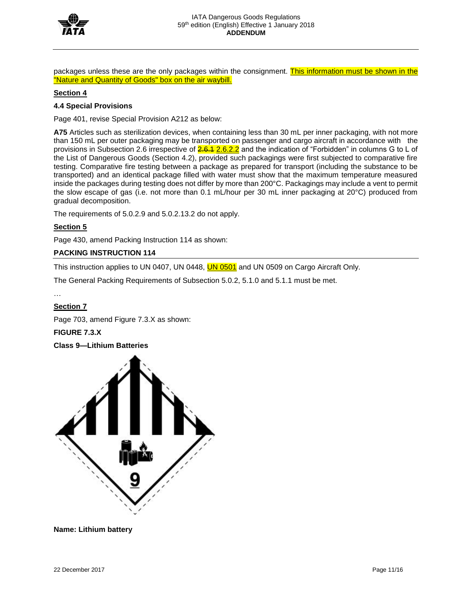

packages unless these are the only packages within the consignment. This information must be shown in the "Nature and Quantity of Goods" box on the air waybill.

## **Section 4**

### **4.4 Special Provisions**

Page 401, revise Special Provision A212 as below:

**A75** Articles such as sterilization devices, when containing less than 30 mL per inner packaging, with not more than 150 mL per outer packaging may be transported on passenger and cargo aircraft in accordance with the provisions in Subsection 2.6 irrespective of  $\frac{2.6.1 \text{ Z.} 6.2.2}{2}$  and the indication of "Forbidden" in columns G to L of the List of Dangerous Goods (Section 4.2), provided such packagings were first subjected to comparative fire testing. Comparative fire testing between a package as prepared for transport (including the substance to be transported) and an identical package filled with water must show that the maximum temperature measured inside the packages during testing does not differ by more than 200°C. Packagings may include a vent to permit the slow escape of gas (i.e. not more than 0.1 mL/hour per 30 mL inner packaging at 20°C) produced from gradual decomposition.

The requirements of 5.0.2.9 and 5.0.2.13.2 do not apply.

## **Section 5**

Page 430, amend Packing Instruction 114 as shown:

## **PACKING INSTRUCTION 114**

This instruction applies to UN 0407, UN 0448, **UN 0501** and UN 0509 on Cargo Aircraft Only.

The General Packing Requirements of Subsection 5.0.2, 5.1.0 and 5.1.1 must be met.

# **Section 7**

Page 703, amend Figure 7.3.X as shown:

**FIGURE 7.3.X**

**Class 9—Lithium Batteries**



**Name: Lithium battery**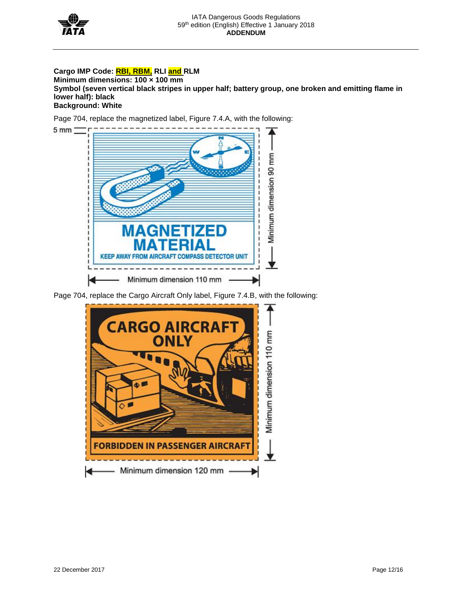

5 mm

## **Cargo IMP Code: RBI, RBM, RLI and RLM**

**Minimum dimensions: 100 × 100 mm Symbol (seven vertical black stripes in upper half; battery group, one broken and emitting flame in lower half): black Background: White**

Page 704, replace the magnetized label, Figure 7.4.A, with the following:



Page 704, replace the Cargo Aircraft Only label, Figure 7.4.B, with the following:

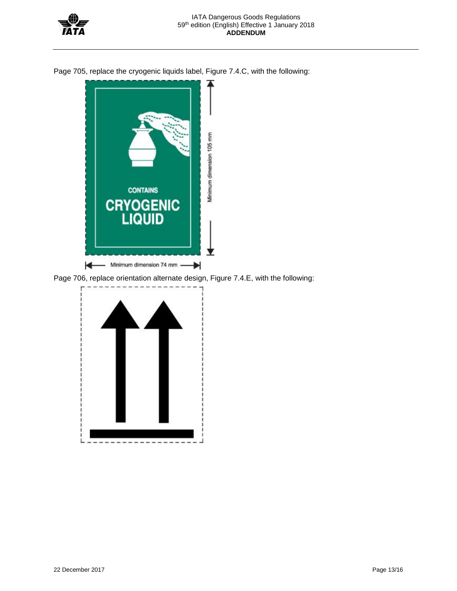

Page 705, replace the cryogenic liquids label, Figure 7.4.C, with the following:



Page 706, replace orientation alternate design, Figure 7.4.E, with the following:

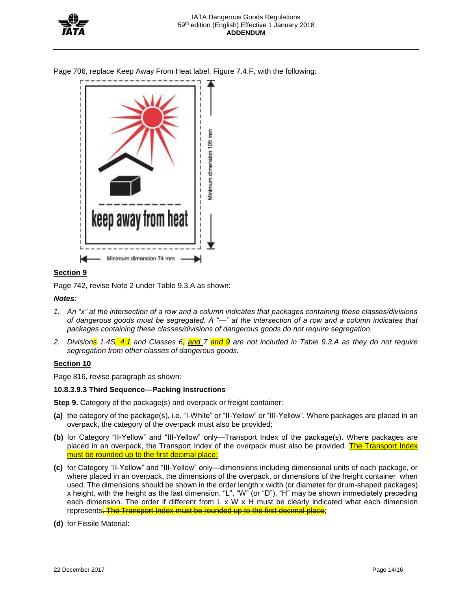

Page 706, replace Keep Away From Heat label, Figure 7.4.F, with the following:



## **Section 9**

Page 742, revise Note 2 under Table 9.3.A as shown:

## *Notes:*

- *1. An "x" at the intersection of a row and a column indicates that packages containing these classes/divisions of dangerous goods must be segregated. A "—" at the intersection of a row and a column indicates that packages containing these classes/divisions of dangerous goods do not require segregation.*
- *2. Divisions 1.4S, 4.1 and Classes 6, and 7 and 9 are not included in Table 9.3.A as they do not require segregation from other classes of dangerous goods.*

## **Section 10**

Page 816, revise paragraph as shown:

## **10.8.3.9.3 Third Sequence—Packing Instructions**

**Step 9.** Category of the package(s) and overpack or freight container:

- **(a)** the category of the package(s), i.e. "I-White" or "II-Yellow" or "III-Yellow". Where packages are placed in an overpack, the category of the overpack must also be provided;
- **(b)** for Category "II-Yellow" and "III-Yellow" only—Transport Index of the package(s). Where packages are placed in an overpack, the Transport Index of the overpack must also be provided. The Transport Index must be rounded up to the first decimal place;
- **(c)** for Category "II-Yellow" and "III-Yellow" only—dimensions including dimensional units of each package, or where placed in an overpack, the dimensions of the overpack, or dimensions of the freight container when used. The dimensions should be shown in the order length x width (or diameter for drum-shaped packages) x height, with the height as the last dimension. "L", "W" (or "D"), "H" may be shown immediately preceding each dimension. The order if different from L x W x H must be clearly indicated what each dimension represents. The Transport Index must be rounded up to the first decimal place;
- **(d)** for Fissile Material: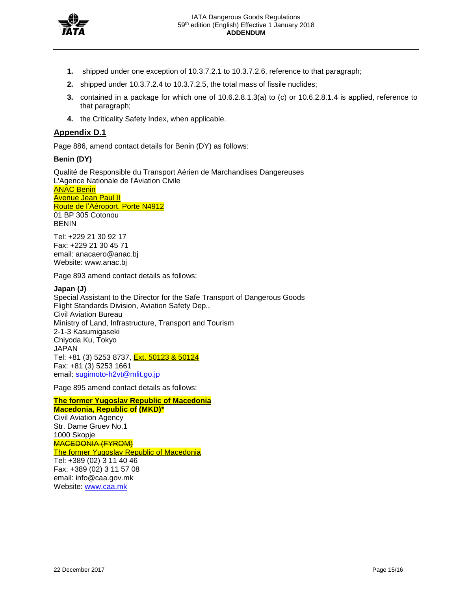

- **1.** shipped under one exception of 10.3.7.2.1 to 10.3.7.2.6, reference to that paragraph;
- **2.** shipped under 10.3.7.2.4 to 10.3.7.2.5, the total mass of fissile nuclides;
- **3.** contained in a package for which one of 10.6.2.8.1.3(a) to (c) or 10.6.2.8.1.4 is applied, reference to that paragraph;
- **4.** the Criticality Safety Index, when applicable.

## **Appendix D.1**

Page 886, amend contact details for Benin (DY) as follows:

#### **Benin (DY)**

Qualité de Responsible du Transport Aérien de Marchandises Dangereuses L'Agence Nationale de l'Aviation Civile ANAC Benin Avenue Jean Paul II Route de l'Aéroport. Porte N4912 01 BP 305 Cotonou **BENIN** 

Tel: +229 21 30 92 17 Fax: +229 21 30 45 71 email: anacaero@anac.bj Website: www.anac.bj

Page 893 amend contact details as follows:

#### **Japan (J)**

Special Assistant to the Director for the Safe Transport of Dangerous Goods Flight Standards Division, Aviation Safety Dep., Civil Aviation Bureau Ministry of Land, Infrastructure, Transport and Tourism 2-1-3 Kasumigaseki Chiyoda Ku, Tokyo JAPAN Tel: +81 (3) 5253 8737, Ext. 50123 & 50124 Fax: +81 (3) 5253 1661 email: [sugimoto-h2vt@mlit.go.jp](mailto:sugimoto-h2vt@mlit.go.jp)

Page 895 amend contact details as follows:

**The former Yugoslav Republic of Macedonia Macedonia, Republic of (MKD)\***  Civil Aviation Agency Str. Dame Gruev No.1 1000 Skopje MACEDONIA (FYROM) The former Yugoslav Republic of Macedonia Tel: +389 (02) 3 11 40 46 Fax: +389 (02) 3 11 57 08 email: info@caa.gov.mk Website: [www.caa.mk](http://www.caa.mk/)